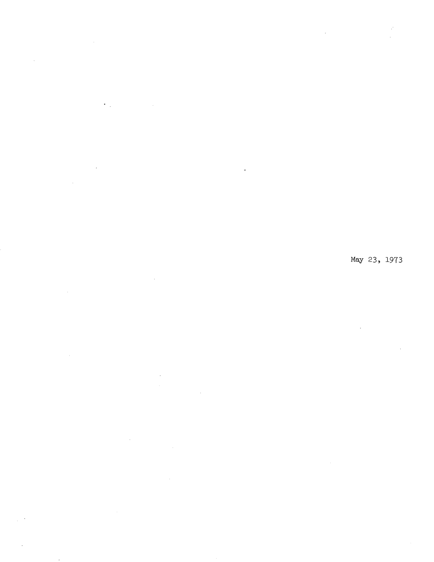$\sim 10^{-10}$ 

 $\langle \cdot \rangle_{\perp}$ 

 $\hat{\mathcal{A}}$ 

 $\sim 10$  $\mathbf{q}$  $\mathcal{A}_\mathrm{c}$ 

 $\sim$ 

 $\bar{u}$  $\hat{\mathcal{A}}$ 

 $\hat{\mathcal{A}}$  $\sim$  $\sim$   $\mu$  $\hat{\mathcal{A}}$ 

 $\sim$ 

 $\cdot$ 

May 23, 1973

 $\frac{1}{2}$ 

 $\bar{z}$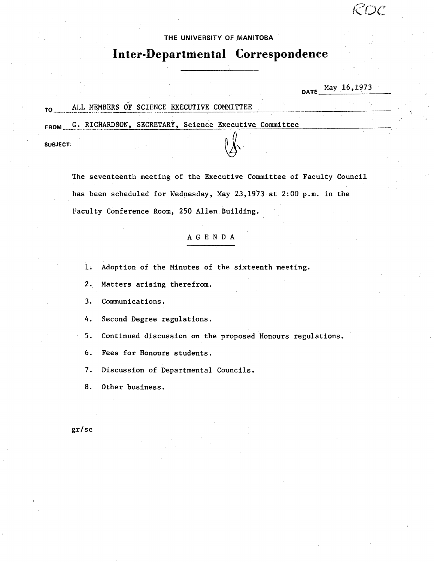## THE UNIVERSITY **OF MANITOBA**

K DC

# **Inter-Departmental Correspondence**

|                 |                                                            |  |  | <b>DATE</b> | May 16,1973 |  |  |
|-----------------|------------------------------------------------------------|--|--|-------------|-------------|--|--|
| TO              | ALL MEMBERS OF SCIENCE EXECUTIVE COMMITTEE                 |  |  |             |             |  |  |
|                 | FROM G. RICHARDSON, SECRETARY, Science Executive Committee |  |  |             |             |  |  |
| <b>SUBJECT:</b> |                                                            |  |  |             |             |  |  |

The seventeenth meeting of the Executive Committee of Faculty Council has been scheduled for Wednesday, May 23,1973 at 2:00 p.m. in the Faculty Conference Room, 250 Allen Building.

# AGENDA

1. Adoption of the Minutes of the sixteenth meeting.

2.. Matters arising therefrom.

3. Communications.

4. Second Degree regulations.

 $5.$ Continued discussion on the proposed Honours regulations.

 $6.$ Fees for Honours students.

7. Discussion of Departmental Councils.

8. Other business.

gr/sc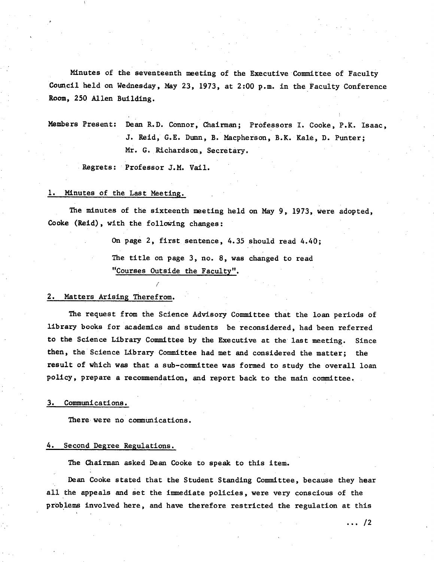Minutes of the seventeenth meeting of the Executive Committee of Faculty Council held on Wednesday, May 23, 1973, at 2:00 p.m. in the Faculty Conference Room, 250 Allen Building.

Members Present: Dean R.D. Connor, Chairman; Professors I. Cooke, P.X. Isaac, J. Reid, G.E. Dunn, B. Macpherson, B.K. KAle, D. Punter; Mr. G. Richardson, Secretary.

Regrets: PrOfessor J.M. Vail.

/

#### 1. Minutes of the Last Meeting.

The minutes of the sixteenth meeting held on May 9, 1973, were adopted, Cooke (Reid), with the following changes:

On page 2, first sentence, 4.35 should read 4.40;

The title on page 3, no. 8, was changed to read "Courses Outside the Faculty".

### 2. Matters Arising Therefrom.

The request from the Science Advisory Committee that the loan periods of library books for academics and students be reconsidered, had been referred to the Science Library Committee by the Executive at the last meeting. Since then, the Science Library Committee had met and considered the matter; the result of which was that a sub-committee was formed to study the overall loan policy, prepare a recommendation, and report back to the main committee.

#### Communications.

There were no communications.

#### 4. Second Degree Regulations.

The Chairman asked Dean Cooke to speak to this item.

Dean Cooke stated that the Student Standing Committee, because they hear all the appeals and set the immediate policies, were very conscious of the problems involved here, and have therefore restricted the regulation at this

 $\cdots$  /2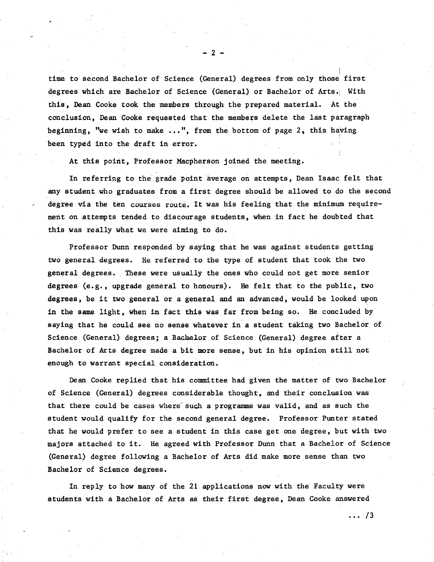time to second Bachelor of Science (General) degrees from only those'first degrees which are Bachelor of Science (General) or Bachelor of Arts. With this, Dean Cooke took the members through the prepared material. At the conclusion, Dean Cooke requested that the members delete the last paragraph beginning, "we wish to make *...",* from the bottom of page 2, this having been typed into the draft in error.

At this point, Professor Macpherson joined the meeting.

In referring to the grade point average on attempts, Dean Isaac felt that any student who graduates from a first degree should be allowed to do the second degree via the ten courses route. It was his feeling that the minimum require*inent* on attempts tended to discourage students, when in fact he doubted that this was really what we were aiming to do.

Professor Dunn responded by saying that he was against students getting two general degrees. He referred to the type of student that took the two general degrees. These were usually the ones who could not get more senior degrees (e.g., upgrade general to honours). He felt that to the public, two degrees, be it two general or a general and an advanced, would be looked upon in the same light, when in fact this was far from being so. He concluded by saying that he could see no sense whatever in a student taking two Bachelor of Science (General) degrees; a Bachelor of Science (General) degree after a Bachelor of Arts degree made a bit more sense, but in his opinion still not enough to warrant special consideration.

Dean Cooke replied that his committee had given the matter of two Bachelor of Science (General) degrees considerable thought, and their conclusion was that there could be cases where such a programme was valid, and as such the student would qualify for the second general degree. Professor Punter stated that he would prefer to see a student in this case get one degree, but with two majors attached to it. He agreed with Professor Dunn that a Bachelor of Science (General) degree following a Bachelor of Arts did make more sense than two Bachelor of Science degrees.

In reply to how many of the 21 applications now with the Faculty were students with a Bachelor of Arts as their first degree, Dean Cooke answered

 $-2$  -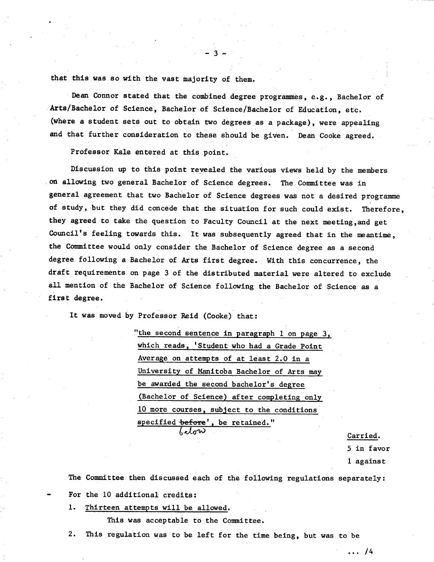that this was so with the vast majority of them.

Dean Connor stated that the combined degree programmes, e.g., Bachelor of Arts/Bachelor of Science, Bachelor of Science/Bachelor of Education, etc. (where a student sets out to obtain two degrees as a package), were appealing and that further consideration to these should be given. Dean Cooke agreed.

 $-3-$ 

Professor Kale entered at this point.

Discussion up to this point revealed the various views held by the members on allowing two general Bachelor of Science degrees. The Committee was in general agreement that two Bachelor of Science degrees was not a desired programme of study, but they did concede that the situation for such could exist. Therefore, they agreed to take the question to Faculty Council at the next meeting,and get Council's feeling towards this. It was subsequently agreed that in the meantime., the Committee would only consider the. Bachelor of Science degree as a second degree following a Bachelor of Arts first degree. With this concurrence, the draft requirements on page 3 of the distributed material were altered to exclude all mention of the Bachelor of Science following the Bachelor of Science as a first degree.

It was moved by Professor Reid (Cooke) that:

"the second sentence in paragraph 1 on page 3, which reads, 'Student who had a Grade Point Average on attempts of at least 2.0 in a University of Manitoba Bachelor of Arts may be awarded the second bachelor's degree (Bachelor of Science) after completing only 10 more courses, subject to the conditions specified before', be retained." Lelow

Carried.

5 in favor

1 against

The Committee then discussed each of the following regulations separately: For the 10 additional credits:

1. Thirteen attempts will be allowed.

This was acceptable to the Committee.

This regulation was to be left for the time being, but was to be  $2.$ 

... 14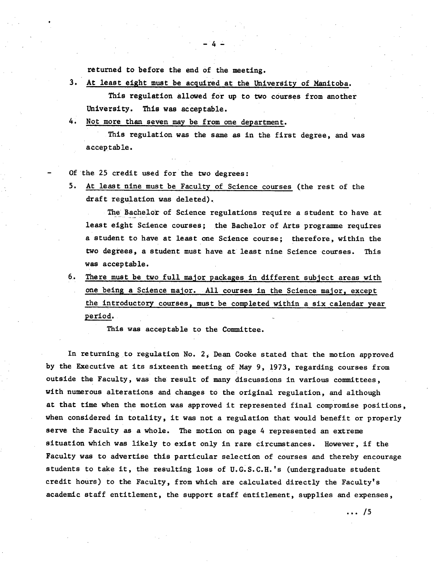returned to before the end of the meeting.

 $3.$ At least eight must be acquired at the University of Manitoba.

This regulation allowed for up to two courses from another University. This was acceptable.

 $-4-$ 

4. Not more than seven may be from one department.

This regulation was the same as in the first degree, and was acceptable.

Of the 25 credit used for the two degrees:

At least nine must be Faculty of Science courses (the rest of the draft regulation was deleted).

The Bachelor of Science regulations require a student to have at least eight Science courses; the Bachelor of Arts programme requires a student to have at least one Science course; therefore, within the two degrees, a student must have at least nine Science courses. This was acceptable.

6.. There must be two full major packages in different subject areas with one being a Science major. All courses in the Science major, except the introductory courses, must be completed within a six calendar year period.

This was acceptable to the Committee.

In returning to regulation No. 2, Dean Cooke stated that the motion approved by the Executive at its sixteenth meeting of May 9, 1973, regarding courses from outside the Faculty, was the result of many discussions in various committees, with numerous alterations and changes to the original regulation, and although at that time when the motion was approved it represented final compromise positions, when considered in totality, it was not a regulation that would benefit or properly serve the Faculty as a whole. The motion on page 4 represented an extreme situation which was likely to exist only in rare circumstances. However, if the Faculty was to advertise this particular selection of courses and thereby encourage students to take it, the resulting loss of U.G.S.C.H.'s (undergraduate student credit hours) to the Faculty, from which are calculated directly the Faculty's academic staff entitlement, the support staff entitlement, supplies and expenses,

 $\cdots$  /5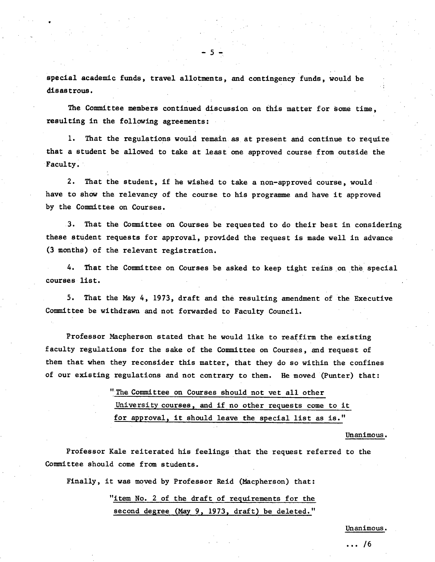special academic funds, travel allotments, and contingency funds, would be disastrous.

-5-

The Committee members *continued* discussion on this matter for Some time, resulting in the following agreements:

I. That the regulations would remain, as. at present and continue to require that a student be allowed to take at least one approved course from outside the Faculty.

 $2.$ That the student, if he wished to take a non-approved course, would have to show the relevancy of the course to his programme and have it approved by the Committee on Courses.

That the Committee on Courses be requested to do their best in considering  $3.$ these student requests for approval, provided the request is made well in advance (3 months) of the relevant registration.

That the Committee on Courses be asked to keep tight reins on the special 4. courses list.

5. That the May 4, 1973, draft and the resulting amendment of the Executive Committee be withdrawn and not forwarded to Faculty Council.

Professor Nacpherson stated that he would like to reaffirm the existing faculty regulations for the sake of the Committee on Courses, and request of them that when they reconsider this matter, that they do so within the confines of our existing regulations and not contrary to them. He moved (Punter) that:

> "The Committee on Courses should not vet all other University courses, and if no other requests come to it for approval, it should leave the special list as is."

> > Unanimous.

Professor Kale reiterated his feelings that the request referred to the Committee should come from students.

Finally, it was moved by Professor Reid (Macpherson) that:

"item No. 2 of the draft of requirements for the second degree (Nay 9, 1973, draft) be deleted."

Unanimous.

 $\ldots 76$